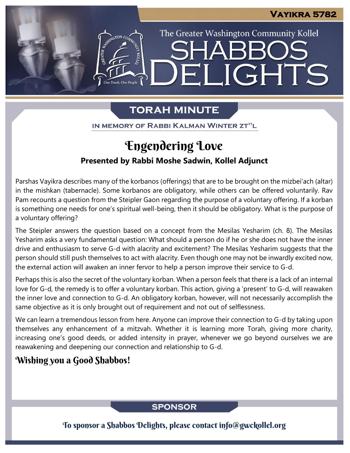The Greater Washington Community Kollel

LIGHTS

# **TORAH MINUTE**

EI

IN MEMORY OF RABBI KALMAN WINTER ZT"L

# Engendering Love

## **Presented by Rabbi Moshe Sadwin, Kollel Adjunct**

Parshas Vayikra describes many of the korbanos (offerings) that are to be brought on the mizbei'ach (altar) in the mishkan (tabernacle). Some korbanos are obligatory, while others can be offered voluntarily. Rav Pam recounts a question from the Steipler Gaon regarding the purpose of a voluntary offering. If a korban is something one needs for one's spiritual well-being, then it should be obligatory. What is the purpose of a voluntary offering?

The Steipler answers the question based on a concept from the Mesilas Yesharim (ch. 8). The Mesilas Yesharim asks a very fundamental question: What should a person do if he or she does not have the inner drive and enthusiasm to serve G-d with alacrity and excitement? The Mesilas Yesharim suggests that the person should still push themselves to act with alacrity. Even though one may not be inwardly excited now, the external action will awaken an inner fervor to help a person improve their service to G-d.

Perhaps this is also the secret of the voluntary korban. When a person feels that there is a lack of an internal love for G-d, the remedy is to offer a voluntary korban. This action, giving a 'present' to G-d, will reawaken the inner love and connection to G-d. An obligatory korban, however, will not necessarily accomplish the same objective as it is only brought out of requirement and not out of selflessness.

We can learn a tremendous lesson from here. Anyone can improve their connection to G-d by taking upon themselves any enhancement of a mitzvah. Whether it is learning more Torah, giving more charity, increasing one's good deeds, or added intensity in prayer, whenever we go beyond ourselves we are reawakening and deepening our connection and relationship to G-d.

# Wishing you a Good Shabbos!

## **SPONSOR**

To sponsor a Shabbos Delights, please contact info@gwckollel.org